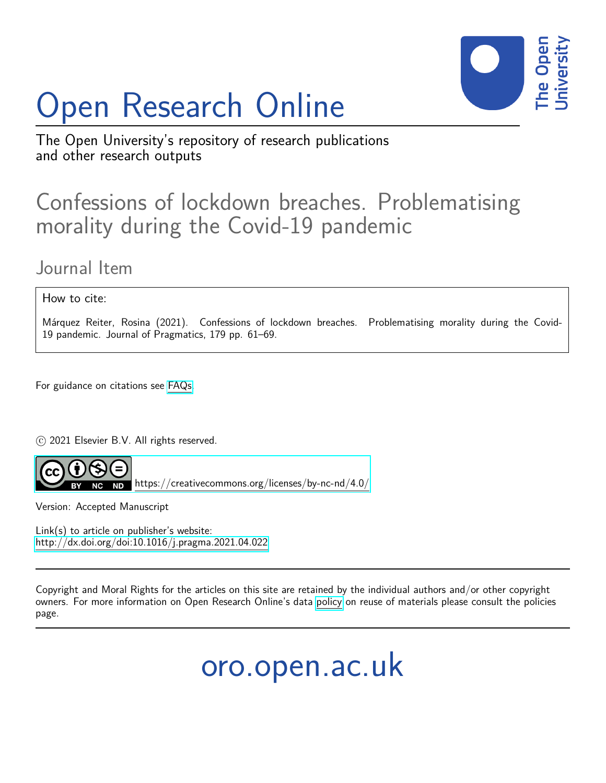# Open Research Online



The Open University's repository of research publications and other research outputs

## Confessions of lockdown breaches. Problematising morality during the Covid-19 pandemic

### Journal Item

#### How to cite:

Márquez Reiter, Rosina (2021). Confessions of lockdown breaches. Problematising morality during the Covid-19 pandemic. Journal of Pragmatics, 179 pp. 61–69.

For guidance on citations see [FAQs.](http://oro.open.ac.uk/help/helpfaq.html)

c 2021 Elsevier B.V. All rights reserved.



 $N$ D <https://creativecommons.org/licenses/by-nc-nd/4.0/>

Version: Accepted Manuscript

Link(s) to article on publisher's website: <http://dx.doi.org/doi:10.1016/j.pragma.2021.04.022>

Copyright and Moral Rights for the articles on this site are retained by the individual authors and/or other copyright owners. For more information on Open Research Online's data [policy](http://oro.open.ac.uk/policies.html) on reuse of materials please consult the policies page.

oro.open.ac.uk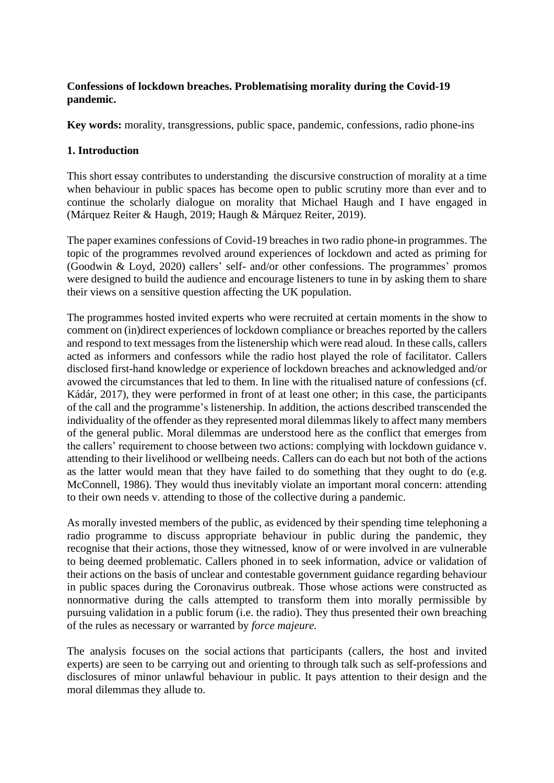#### **Confessions of lockdown breaches. Problematising morality during the Covid-19 pandemic.**

**Key words:** morality, transgressions, public space, pandemic, confessions, radio phone-ins

#### **1. Introduction**

This short essay contributes to understanding the discursive construction of morality at a time when behaviour in public spaces has become open to public scrutiny more than ever and to continue the scholarly dialogue on morality that Michael Haugh and I have engaged in (Márquez Reiter & Haugh, 2019; Haugh & Márquez Reiter, 2019).

The paper examines confessions of Covid-19 breaches in two radio phone-in programmes. The topic of the programmes revolved around experiences of lockdown and acted as priming for (Goodwin & Loyd, 2020) callers' self- and/or other confessions. The programmes' promos were designed to build the audience and encourage listeners to tune in by asking them to share their views on a sensitive question affecting the UK population.

The programmes hosted invited experts who were recruited at certain moments in the show to comment on (in)direct experiences of lockdown compliance or breaches reported by the callers and respond to text messages from the listenership which were read aloud. In these calls, callers acted as informers and confessors while the radio host played the role of facilitator. Callers disclosed first-hand knowledge or experience of lockdown breaches and acknowledged and/or avowed the circumstances that led to them. In line with the ritualised nature of confessions (cf. Kádár, 2017), they were performed in front of at least one other; in this case, the participants of the call and the programme's listenership. In addition, the actions described transcended the individuality of the offender as they represented moral dilemmas likely to affect many members of the general public. Moral dilemmas are understood here as the conflict that emerges from the callers' requirement to choose between two actions: complying with lockdown guidance v. attending to their livelihood or wellbeing needs. Callers can do each but not both of the actions as the latter would mean that they have failed to do something that they ought to do (e.g. McConnell, 1986). They would thus inevitably violate an important moral concern: attending to their own needs v. attending to those of the collective during a pandemic.

As morally invested members of the public, as evidenced by their spending time telephoning a radio programme to discuss appropriate behaviour in public during the pandemic, they recognise that their actions, those they witnessed, know of or were involved in are vulnerable to being deemed problematic. Callers phoned in to seek information, advice or validation of their actions on the basis of unclear and contestable government guidance regarding behaviour in public spaces during the Coronavirus outbreak. Those whose actions were constructed as nonnormative during the calls attempted to transform them into morally permissible by pursuing validation in a public forum (i.e. the radio). They thus presented their own breaching of the rules as necessary or warranted by *force majeure.*

The analysis focuses on the social actions that participants (callers, the host and invited experts) are seen to be carrying out and orienting to through talk such as self-professions and disclosures of minor unlawful behaviour in public. It pays attention to their design and the moral dilemmas they allude to.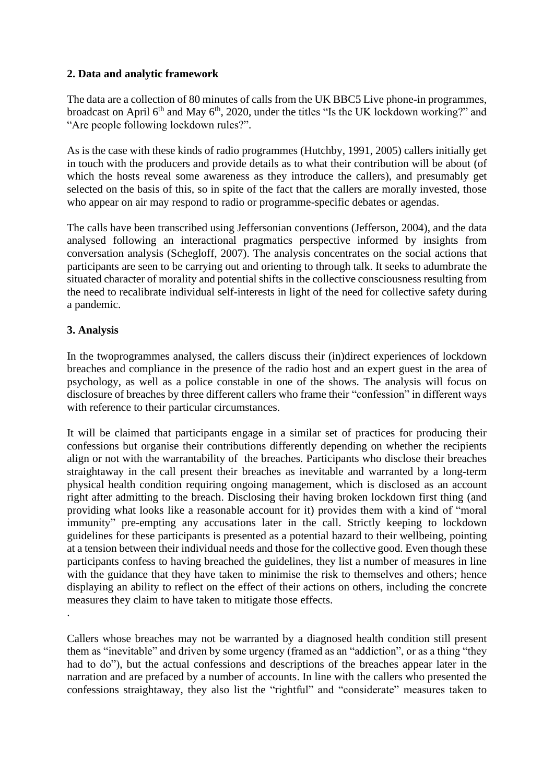#### **2. Data and analytic framework**

The data are a collection of 80 minutes of calls from the UK BBC5 Live phone-in programmes, broadcast on April 6<sup>th</sup> and May 6<sup>th</sup>, 2020, under the titles "Is the UK lockdown working?" and "Are people following lockdown rules?".

As is the case with these kinds of radio programmes (Hutchby, 1991, 2005) callers initially get in touch with the producers and provide details as to what their contribution will be about (of which the hosts reveal some awareness as they introduce the callers), and presumably get selected on the basis of this, so in spite of the fact that the callers are morally invested, those who appear on air may respond to radio or programme-specific debates or agendas.

The calls have been transcribed using Jeffersonian conventions (Jefferson, 2004), and the data analysed following an interactional pragmatics perspective informed by insights from conversation analysis (Schegloff, 2007). The analysis concentrates on the social actions that participants are seen to be carrying out and orienting to through talk. It seeks to adumbrate the situated character of morality and potential shifts in the collective consciousness resulting from the need to recalibrate individual self-interests in light of the need for collective safety during a pandemic.

#### **3. Analysis**

In the twoprogrammes analysed, the callers discuss their (in)direct experiences of lockdown breaches and compliance in the presence of the radio host and an expert guest in the area of psychology, as well as a police constable in one of the shows. The analysis will focus on disclosure of breaches by three different callers who frame their "confession" in different ways with reference to their particular circumstances.

It will be claimed that participants engage in a similar set of practices for producing their confessions but organise their contributions differently depending on whether the recipients align or not with the warrantability of the breaches. Participants who disclose their breaches straightaway in the call present their breaches as inevitable and warranted by a long-term physical health condition requiring ongoing management, which is disclosed as an account right after admitting to the breach. Disclosing their having broken lockdown first thing (and providing what looks like a reasonable account for it) provides them with a kind of "moral immunity" pre-empting any accusations later in the call. Strictly keeping to lockdown guidelines for these participants is presented as a potential hazard to their wellbeing, pointing at a tension between their individual needs and those for the collective good. Even though these participants confess to having breached the guidelines, they list a number of measures in line with the guidance that they have taken to minimise the risk to themselves and others; hence displaying an ability to reflect on the effect of their actions on others, including the concrete measures they claim to have taken to mitigate those effects. .

Callers whose breaches may not be warranted by a diagnosed health condition still present them as "inevitable" and driven by some urgency (framed as an "addiction", or as a thing "they had to do"), but the actual confessions and descriptions of the breaches appear later in the narration and are prefaced by a number of accounts. In line with the callers who presented the confessions straightaway, they also list the "rightful" and "considerate" measures taken to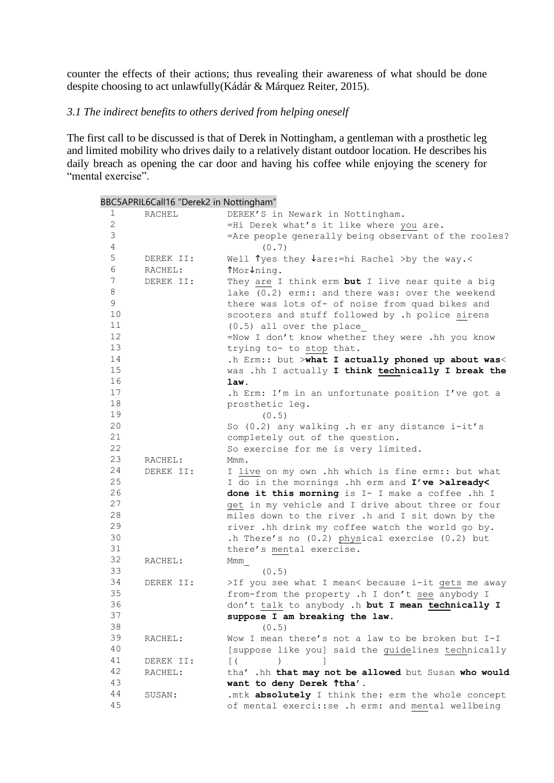counter the effects of their actions; thus revealing their awareness of what should be done despite choosing to act unlawfully(Kádár & Márquez Reiter, 2015).

#### *3.1 The indirect benefits to others derived from helping oneself*

The first call to be discussed is that of Derek in Nottingham, a gentleman with a prosthetic leg and limited mobility who drives daily to a relatively distant outdoor location. He describes his daily breach as opening the car door and having his coffee while enjoying the scenery for "mental exercise".

|              | BBC5APRIL6Call16 "Derek2 in Nottingham" |                                                      |
|--------------|-----------------------------------------|------------------------------------------------------|
| 1            | RACHEL                                  | DEREK'S in Newark in Nottingham.                     |
| $\mathbf{2}$ |                                         | =Hi Derek what's it like where you are.              |
| $\mathsf 3$  |                                         | =Are people generally being observant of the rooles? |
| $\sqrt{4}$   |                                         | (0.7)                                                |
| $\mathsf S$  | DEREK II:                               | Well Tyes they $\sqrt{ar}$ =hi Rachel >by the way.<  |
| 6            | RACHEL:                                 | ↑Mor↓ning.                                           |
| 7            | DEREK II:                               | They are I think erm but I live near quite a big     |
| 8            |                                         | lake (0.2) erm:: and there was: over the weekend     |
| 9            |                                         | there was lots of- of noise from quad bikes and      |
| 10           |                                         | scooters and stuff followed by .h police sirens      |
| 11           |                                         | $(0.5)$ all over the place                           |
| 12           |                                         | =Now I don't know whether they were .hh you know     |
| 13           |                                         | trying to- to stop that.                             |
| 14           |                                         | .h Erm:: but >what I actually phoned up about was<   |
| 15           |                                         | was .hh I actually I think technically I break the   |
| 16           |                                         | law.                                                 |
| 17           |                                         | .h Erm: I'm in an unfortunate position I've got a    |
| 18           |                                         | prosthetic leg.                                      |
| 19           |                                         | (0.5)                                                |
| 20           |                                         | So (0.2) any walking .h er any distance i-it's       |
| 21           |                                         | completely out of the question.                      |
| 22           |                                         | So exercise for me is very limited.                  |
| 23           | RACHEL:                                 | Mmm.                                                 |
| 24           | DEREK II:                               | I live on my own .hh which is fine erm:: but what    |
| 25           |                                         | I do in the mornings .hh erm and I've >already<      |
| 26           |                                         | done it this morning is I- I make a coffee .hh I     |
| 27           |                                         | get in my vehicle and I drive about three or four    |
| 28           |                                         | miles down to the river .h and I sit down by the     |
| 29           |                                         | river .hh drink my coffee watch the world go by.     |
| 30           |                                         | .h There's no (0.2) physical exercise (0.2) but      |
| 31           |                                         | there's mental exercise.                             |
| 32           | RACHEL:                                 | Mmm                                                  |
| 33           |                                         | (0.5)                                                |
| 34           | DEREK II:                               | >If you see what I mean< because i-it gets me away   |
| 35           |                                         | from-from the property .h I don't see anybody I      |
| 36           |                                         | don't talk to anybody .h but I mean technically I    |
| 37           |                                         | suppose I am breaking the law.                       |
| 38           |                                         | (0.5)                                                |
| 39           | RACHEL:                                 | Wow I mean there's not a law to be broken but I-I    |
| 40           |                                         | [suppose like you] said the guidelines technically   |
| 41           | DEREK II:                               | $\lceil ($                                           |
| 42           | RACHEL:                                 | tha' .hh that may not be allowed but Susan who would |
| 43           |                                         | want to deny Derek Ttha'.                            |
| 44           | SUSAN:                                  | .mtk absolutely I think the: erm the whole concept   |
| 45           |                                         | of mental exerci:: se .h erm: and mental wellbeing   |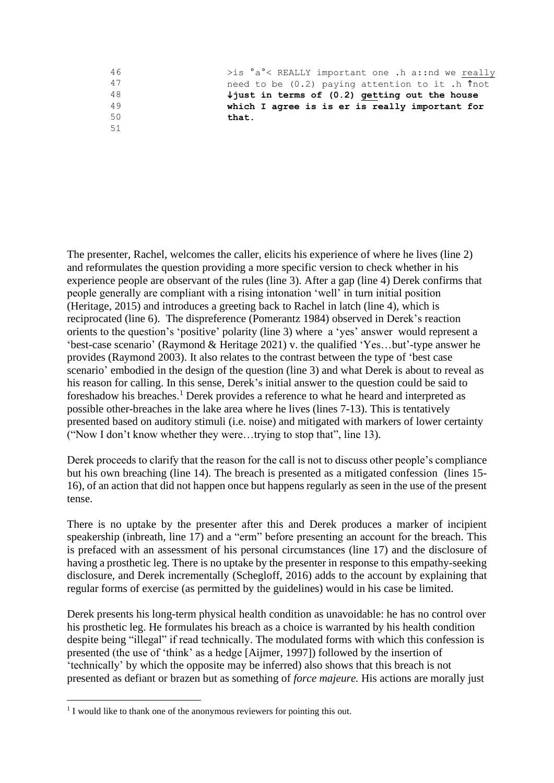| 46 | $>$ is $a^{\circ}$ < REALLY important one .h a::nd we really |
|----|--------------------------------------------------------------|
| 47 | need to be (0.2) paying attention to it .h Thot              |
| 48 | $\frac{1}{2}$ just in terms of (0.2) getting out the house   |
| 49 | which I agree is is er is really important for               |
| 50 | that.                                                        |
| 51 |                                                              |

The presenter, Rachel, welcomes the caller, elicits his experience of where he lives (line 2) and reformulates the question providing a more specific version to check whether in his experience people are observant of the rules (line 3). After a gap (line 4) Derek confirms that people generally are compliant with a rising intonation 'well' in turn initial position (Heritage, 2015) and introduces a greeting back to Rachel in latch (line 4), which is reciprocated (line 6). The dispreference (Pomerantz 1984) observed in Derek's reaction orients to the question's 'positive' polarity (line 3) where a 'yes' answer would represent a 'best-case scenario' (Raymond & Heritage 2021) v. the qualified 'Yes…but'-type answer he provides (Raymond 2003). It also relates to the contrast between the type of 'best case scenario' embodied in the design of the question (line 3) and what Derek is about to reveal as his reason for calling. In this sense, Derek's initial answer to the question could be said to foreshadow his breaches. <sup>1</sup> Derek provides a reference to what he heard and interpreted as possible other-breaches in the lake area where he lives (lines 7-13). This is tentatively presented based on auditory stimuli (i.e. noise) and mitigated with markers of lower certainty ("Now I don't know whether they were…trying to stop that", line 13).

Derek proceeds to clarify that the reason for the call is not to discuss other people's compliance but his own breaching (line 14). The breach is presented as a mitigated confession (lines 15- 16), of an action that did not happen once but happens regularly as seen in the use of the present tense.

There is no uptake by the presenter after this and Derek produces a marker of incipient speakership (inbreath, line 17) and a "erm" before presenting an account for the breach. This is prefaced with an assessment of his personal circumstances (line 17) and the disclosure of having a prosthetic leg. There is no uptake by the presenter in response to this empathy-seeking disclosure, and Derek incrementally (Schegloff, 2016) adds to the account by explaining that regular forms of exercise (as permitted by the guidelines) would in his case be limited.

Derek presents his long-term physical health condition as unavoidable: he has no control over his prosthetic leg. He formulates his breach as a choice is warranted by his health condition despite being "illegal" if read technically. The modulated forms with which this confession is presented (the use of 'think' as a hedge [Aijmer, 1997]) followed by the insertion of 'technically' by which the opposite may be inferred) also shows that this breach is not presented as defiant or brazen but as something of *force majeure.* His actions are morally just

<sup>&</sup>lt;sup>1</sup> I would like to thank one of the anonymous reviewers for pointing this out.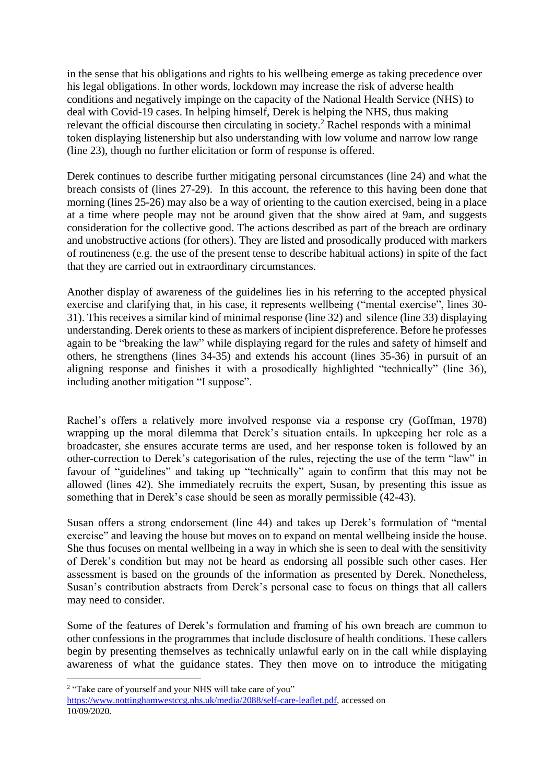in the sense that his obligations and rights to his wellbeing emerge as taking precedence over his legal obligations. In other words, lockdown may increase the risk of adverse health conditions and negatively impinge on the capacity of the National Health Service (NHS) to deal with Covid-19 cases. In helping himself, Derek is helping the NHS, thus making relevant the official discourse then circulating in society.<sup>2</sup> Rachel responds with a minimal token displaying listenership but also understanding with low volume and narrow low range (line 23), though no further elicitation or form of response is offered.

Derek continues to describe further mitigating personal circumstances (line 24) and what the breach consists of (lines 27-29). In this account, the reference to this having been done that morning (lines 25-26) may also be a way of orienting to the caution exercised, being in a place at a time where people may not be around given that the show aired at 9am, and suggests consideration for the collective good. The actions described as part of the breach are ordinary and unobstructive actions (for others). They are listed and prosodically produced with markers of routineness (e.g. the use of the present tense to describe habitual actions) in spite of the fact that they are carried out in extraordinary circumstances.

Another display of awareness of the guidelines lies in his referring to the accepted physical exercise and clarifying that, in his case, it represents wellbeing ("mental exercise", lines 30- 31). This receives a similar kind of minimal response (line 32) and silence (line 33) displaying understanding. Derek orients to these as markers of incipient dispreference. Before he professes again to be "breaking the law" while displaying regard for the rules and safety of himself and others, he strengthens (lines 34-35) and extends his account (lines 35-36) in pursuit of an aligning response and finishes it with a prosodically highlighted "technically" (line 36), including another mitigation "I suppose".

Rachel's offers a relatively more involved response via a response cry (Goffman, 1978) wrapping up the moral dilemma that Derek's situation entails. In upkeeping her role as a broadcaster, she ensures accurate terms are used, and her response token is followed by an other-correction to Derek's categorisation of the rules, rejecting the use of the term "law" in favour of "guidelines" and taking up "technically" again to confirm that this may not be allowed (lines 42). She immediately recruits the expert, Susan, by presenting this issue as something that in Derek's case should be seen as morally permissible (42-43).

Susan offers a strong endorsement (line 44) and takes up Derek's formulation of "mental exercise" and leaving the house but moves on to expand on mental wellbeing inside the house. She thus focuses on mental wellbeing in a way in which she is seen to deal with the sensitivity of Derek's condition but may not be heard as endorsing all possible such other cases. Her assessment is based on the grounds of the information as presented by Derek. Nonetheless, Susan's contribution abstracts from Derek's personal case to focus on things that all callers may need to consider.

Some of the features of Derek's formulation and framing of his own breach are common to other confessions in the programmes that include disclosure of health conditions. These callers begin by presenting themselves as technically unlawful early on in the call while displaying awareness of what the guidance states. They then move on to introduce the mitigating

<sup>&</sup>lt;sup>2</sup> "Take care of yourself and your NHS will take care of you"

[https://www.nottinghamwestccg.nhs.uk/media/2088/self-care-leaflet.pdf,](https://www.nottinghamwestccg.nhs.uk/media/2088/self-care-leaflet.pdf) accessed on 10/09/2020.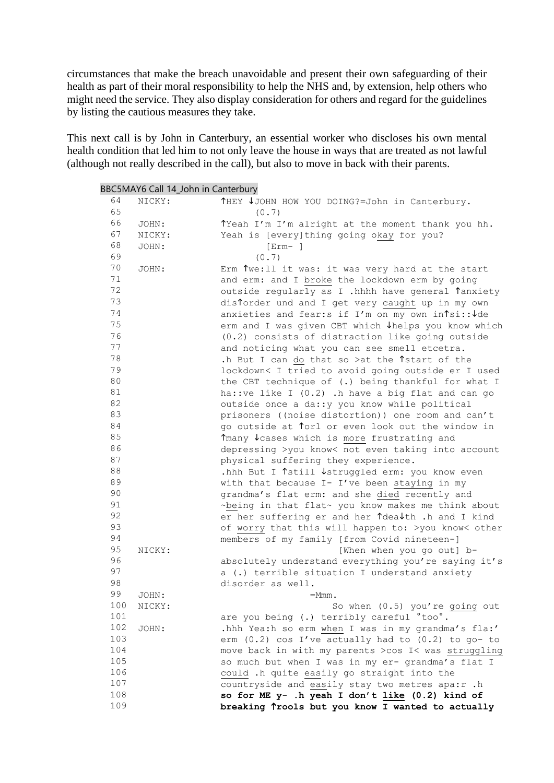circumstances that make the breach unavoidable and present their own safeguarding of their health as part of their moral responsibility to help the NHS and, by extension, help others who might need the service. They also display consideration for others and regard for the guidelines by listing the cautious measures they take.

This next call is by John in Canterbury, an essential worker who discloses his own mental health condition that led him to not only leave the house in ways that are treated as not lawful (although not really described in the call), but also to move in back with their parents.

|          |                 | BBC5MAY6 Call 14_John in Canterbury                                         |
|----------|-----------------|-----------------------------------------------------------------------------|
| 64       | NICKY:          | THEY ↓JOHN HOW YOU DOING?=John in Canterbury.                               |
| 65       |                 | (0.7)                                                                       |
| 66       | JOHN:           | Tyeah I'm I'm alright at the moment thank you hh.                           |
| 67       | NICKY:          | Yeah is [every] thing going okay for you?                                   |
| 68       | JOHN:           | $[Err - ]$                                                                  |
| 69       |                 | (0.7)                                                                       |
| 70       | JOHN:           | Erm Twe: ll it was: it was very hard at the start                           |
| 71       |                 | and erm: and I broke the lockdown erm by going                              |
| 72       |                 | outside regularly as I .hhhh have general Tanxiety                          |
| 73       |                 | distorder und and I get very caught up in my own                            |
| 74       |                 | anxieties and fear:s if I'm on my own in lsi:: Jde                          |
| 75       |                 | erm and I was given CBT which ↓helps you know which                         |
| 76       |                 | (0.2) consists of distraction like going outside                            |
| 77       |                 | and noticing what you can see smell etcetra.                                |
| 78       |                 | .h But I can do that so >at the ^start of the                               |
| 79       |                 | lockdown< I tried to avoid going outside er I used                          |
| 80       |                 | the CBT technique of (.) being thankful for what I                          |
| 81       |                 | ha::ve like I (0.2) .h have a big flat and can go                           |
| 82       |                 | outside once a da:: y you know while political                              |
| 83       |                 | prisoners ((noise distortion)) one room and can't                           |
| 84       |                 | go outside at Torl or even look out the window in                           |
| 85       |                 | ↑many ↓ cases which is more frustrating and                                 |
| 86       |                 | depressing >you know< not even taking into account                          |
| 87       |                 | physical suffering they experience.                                         |
| 88       |                 | .hhh But I ↑still ↓struggled erm: you know even                             |
| 89       |                 | with that because I- I've been staying in my                                |
| 90       |                 | grandma's flat erm: and she died recently and                               |
| 91       |                 | ~being in that flat~ you know makes me think about                          |
| 92       |                 | er her suffering er and her ↑dea↓th .h and I kind                           |
| 93       |                 | of worry that this will happen to: >you know< other                         |
| 94       |                 | members of my family [from Covid nineteen-]                                 |
| 95       | NICKY:          | [When when you go out] b-                                                   |
| 96       |                 | absolutely understand everything you're saying it's                         |
| 97<br>98 |                 | a (.) terrible situation I understand anxiety                               |
| 99       |                 | disorder as well.                                                           |
| 100      | JOHN:<br>NICKY: | $=$ Mmm.                                                                    |
| 101      |                 | So when (0.5) you're going out<br>are you being (.) terribly careful °too°. |
| 102      | JOHN:           | .hhh Yea:h so erm when I was in my grandma's fla:'                          |
| 103      |                 | erm $(0.2)$ cos I've actually had to $(0.2)$ to go- to                      |
| 104      |                 | move back in with my parents >cos I< was struggling                         |
| 105      |                 | so much but when I was in my er- grandma's flat I                           |
| 106      |                 | could .h quite easily go straight into the                                  |
| 107      |                 | countryside and easily stay two metres apa:r .h                             |
| 108      |                 | so for ME y- .h yeah I don't like (0.2) kind of                             |
| 109      |                 | breaking Trools but you know I wanted to actually                           |
|          |                 |                                                                             |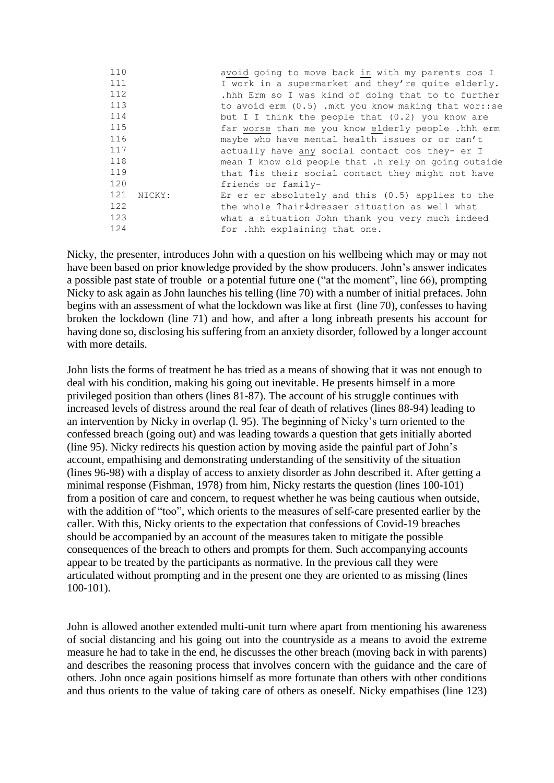| 110 |        | avoid going to move back in with my parents cos I                             |
|-----|--------|-------------------------------------------------------------------------------|
| 111 |        | I work in a supermarket and they're quite elderly.                            |
| 112 |        | .hhh Erm so I was kind of doing that to to further                            |
| 113 |        | to avoid $erm (0.5)$ . mkt you know making that wor::se                       |
| 114 |        | but I I think the people that (0.2) you know are                              |
| 115 |        | far worse than me you know elderly people.hhh erm                             |
| 116 |        | maybe who have mental health issues or or can't                               |
| 117 |        | actually have any social contact cos they- er I                               |
| 118 |        | mean I know old people that .h rely on going outside                          |
| 119 |        | that Tis their social contact they might not have                             |
| 120 |        | friends or family-                                                            |
| 121 | NICKY: | Er er er absolutely and this $(0.5)$ applies to the                           |
| 122 |        | the whole $\hat{\mathsf{T}}$ hair $\downarrow$ dresser situation as well what |
| 123 |        | what a situation John thank you very much indeed                              |
| 124 |        | for .hhh explaining that one.                                                 |

Nicky, the presenter, introduces John with a question on his wellbeing which may or may not have been based on prior knowledge provided by the show producers. John's answer indicates a possible past state of trouble or a potential future one ("at the moment", line 66), prompting Nicky to ask again as John launches his telling (line 70) with a number of initial prefaces. John begins with an assessment of what the lockdown was like at first (line 70), confesses to having broken the lockdown (line 71) and how, and after a long inbreath presents his account for having done so, disclosing his suffering from an anxiety disorder, followed by a longer account with more details.

John lists the forms of treatment he has tried as a means of showing that it was not enough to deal with his condition, making his going out inevitable. He presents himself in a more privileged position than others (lines 81-87). The account of his struggle continues with increased levels of distress around the real fear of death of relatives (lines 88-94) leading to an intervention by Nicky in overlap (l. 95). The beginning of Nicky's turn oriented to the confessed breach (going out) and was leading towards a question that gets initially aborted (line 95). Nicky redirects his question action by moving aside the painful part of John's account, empathising and demonstrating understanding of the sensitivity of the situation (lines 96-98) with a display of access to anxiety disorder as John described it. After getting a minimal response (Fishman, 1978) from him, Nicky restarts the question (lines 100-101) from a position of care and concern, to request whether he was being cautious when outside, with the addition of "too", which orients to the measures of self-care presented earlier by the caller. With this, Nicky orients to the expectation that confessions of Covid-19 breaches should be accompanied by an account of the measures taken to mitigate the possible consequences of the breach to others and prompts for them. Such accompanying accounts appear to be treated by the participants as normative. In the previous call they were articulated without prompting and in the present one they are oriented to as missing (lines 100-101).

John is allowed another extended multi-unit turn where apart from mentioning his awareness of social distancing and his going out into the countryside as a means to avoid the extreme measure he had to take in the end, he discusses the other breach (moving back in with parents) and describes the reasoning process that involves concern with the guidance and the care of others. John once again positions himself as more fortunate than others with other conditions and thus orients to the value of taking care of others as oneself. Nicky empathises (line 123)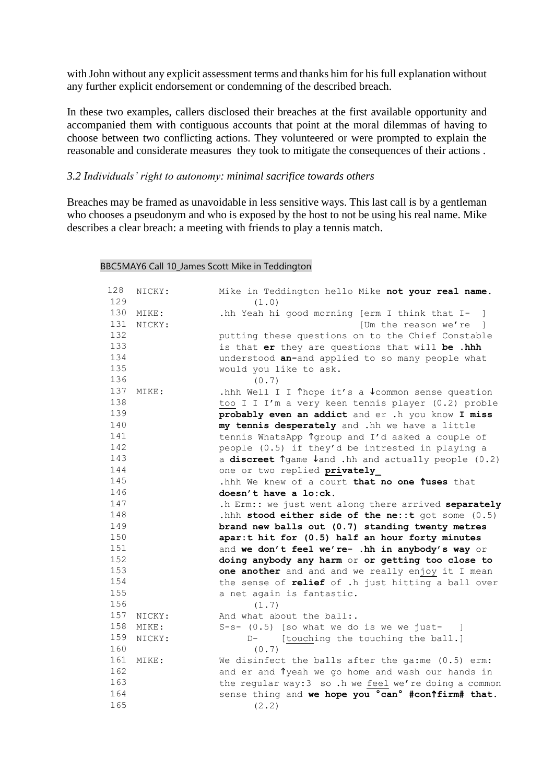with John without any explicit assessment terms and thanks him for his full explanation without any further explicit endorsement or condemning of the described breach.

In these two examples, callers disclosed their breaches at the first available opportunity and accompanied them with contiguous accounts that point at the moral dilemmas of having to choose between two conflicting actions. They volunteered or were prompted to explain the reasonable and considerate measures they took to mitigate the consequences of their actions .

#### *3.2 Individuals' right to autonomy: minimal sacrifice towards others*

Breaches may be framed as unavoidable in less sensitive ways. This last call is by a gentleman who chooses a pseudonym and who is exposed by the host to not be using his real name. Mike describes a clear breach: a meeting with friends to play a tennis match.

#### BBC5MAY6 Call 10\_James Scott Mike in Teddington

| 128 | NICKY: | Mike in Teddington hello Mike not your real name.                   |
|-----|--------|---------------------------------------------------------------------|
| 129 |        | (1.0)                                                               |
| 130 | MIKE:  | .hh Yeah hi good morning [erm I think that I-<br>$\Box$             |
| 131 | NICKY: | [Um the reason we're ]                                              |
| 132 |        | putting these questions on to the Chief Constable                   |
| 133 |        | is that er they are questions that will be .hhh                     |
| 134 |        | understood an-and applied to so many people what                    |
| 135 |        | would you like to ask.                                              |
| 136 |        | (0.7)                                                               |
| 137 | MIKE:  | .hhh Well I I Thope it's a $\sqrt{c}$ common sense question         |
| 138 |        | too I I I'm a very keen tennis player (0.2) proble                  |
| 139 |        | probably even an addict and er .h you know I miss                   |
| 140 |        | my tennis desperately and .hh we have a little                      |
| 141 |        | tennis WhatsApp Tgroup and I'd asked a couple of                    |
| 142 |        | people (0.5) if they'd be intrested in playing a                    |
| 143 |        | a discreet $\gamma$ ame $\lambda$ and .hh and actually people (0.2) |
| 144 |        | one or two replied privately                                        |
| 145 |        | .hhh We knew of a court that no one Tuses that                      |
| 146 |        | doesn't have a lo:ck.                                               |
| 147 |        | .h Erm:: we just went along there arrived separately                |
| 148 |        | .hhh stood either side of the ne: : t got some $(0.5)$              |
| 149 |        | brand new balls out (0.7) standing twenty metres                    |
| 150 |        | apar:t hit for (0.5) half an hour forty minutes                     |
| 151 |        | and we don't feel we're- .hh in anybody's way or                    |
| 152 |        | doing anybody any harm or or getting too close to                   |
| 153 |        | one another and and and we really enjoy it I mean                   |
| 154 |        | the sense of relief of .h just hitting a ball over                  |
| 155 |        | a net again is fantastic.                                           |
| 156 |        | (1.7)                                                               |
| 157 | NICKY: | And what about the ball:.                                           |
| 158 | MIKE:  | $S-s-$ (0.5) [so what we do is we we just- ]                        |
| 159 | NICKY: | [touching the touching the ball.]<br>$D-$                           |
| 160 |        | (0.7)                                                               |
| 161 | MIKE:  | We disinfect the balls after the ga:me (0.5) erm:                   |
| 162 |        | and er and Tyeah we go home and wash our hands in                   |
| 163 |        | the regular way: 3 so .h we feel we're doing a common               |
| 164 |        | sense thing and we hope you 'can' #con'tirm# that.                  |
| 165 |        | (2.2)                                                               |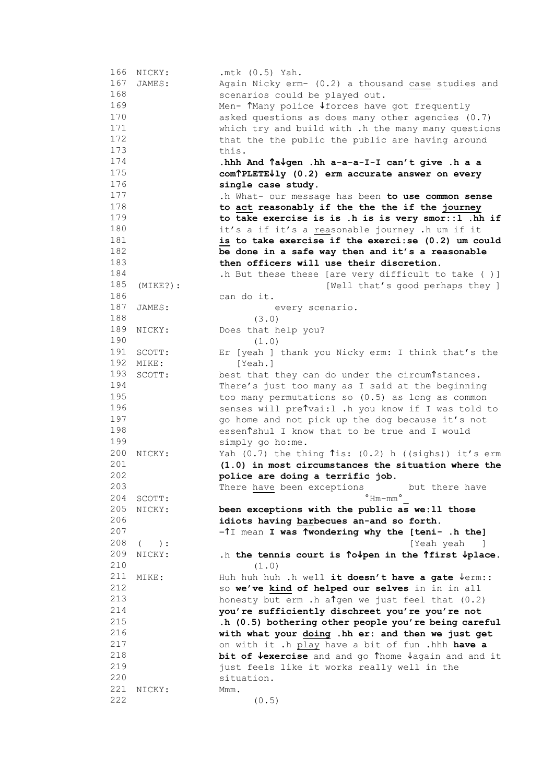|     | 166 NICKY:  | $.$ mtk $(0.5)$ Yah.                                               |
|-----|-------------|--------------------------------------------------------------------|
| 167 | JAMES:      | Again Nicky erm- (0.2) a thousand case studies and                 |
| 168 |             |                                                                    |
|     |             | scenarios could be played out.                                     |
| 169 |             | Men- TMany police Vforces have got frequently                      |
| 170 |             | asked questions as does many other agencies (0.7)                  |
| 171 |             | which try and build with .h the many many questions                |
| 172 |             | that the the public the public are having around                   |
| 173 |             | this.                                                              |
| 174 |             | .hhh And Tavgen .hh a-a-a-I-I can't give .h a a                    |
| 175 |             | com <sup>†</sup> PLETE↓1y (0.2) erm accurate answer on every       |
| 176 |             | single case study.                                                 |
| 177 |             | .h What- our message has been to use common sense                  |
| 178 |             | to act reasonably if the the the if the journey                    |
| 179 |             | to take exercise is is .h is is very smor::1 .hh if                |
| 180 |             | it's a if it's a reasonable journey .h um if it                    |
| 181 |             |                                                                    |
|     |             | is to take exercise if the exerci: se (0.2) um could               |
| 182 |             | be done in a safe way then and it's a reasonable                   |
| 183 |             | then officers will use their discretion.                           |
| 184 |             | .h But these these [are very difficult to take ( )]                |
| 185 | $(MIKE?)$ : | [Well that's good perhaps they ]                                   |
| 186 |             | can do it.                                                         |
| 187 | JAMES:      | every scenario.                                                    |
| 188 |             | (3.0)                                                              |
| 189 | NICKY:      | Does that help you?                                                |
| 190 |             | (1.0)                                                              |
| 191 | SCOTT:      | Er [yeah ] thank you Nicky erm: I think that's the                 |
| 192 | MIKE:       | [Yeah.]                                                            |
| 193 | SCOTT:      | best that they can do under the circum stances.                    |
| 194 |             |                                                                    |
|     |             | There's just too many as I said at the beginning                   |
| 195 |             | too many permutations so (0.5) as long as common                   |
| 196 |             | senses will preTvai:1 .h you know if I was told to                 |
| 197 |             | go home and not pick up the dog because it's not                   |
| 198 |             | essen <sup>t</sup> shul I know that to be true and I would         |
| 199 |             | simply go ho:me.                                                   |
| 200 | NICKY:      | Yah $(0.7)$ the thing $\hat{T}$ is: $(0.2)$ h $((sighs))$ it's erm |
| 201 |             | (1.0) in most circumstances the situation where the                |
| 202 |             | police are doing a terrific job.                                   |
| 203 |             | There have been exceptions<br>but there have                       |
| 204 | SCOTT:      | $^{\circ}$ Hm $-$ mm $^{\circ}$                                    |
| 205 | NICKY:      | been exceptions with the public as we: 11 those                    |
| 206 |             | idiots having barbecues an-and so forth.                           |
| 207 |             | =^I mean I was ^wondering why the [teni- .h the]                   |
| 208 | $($ $)$ :   | [Yeah yeah<br>and the state                                        |
| 209 | NICKY:      |                                                                    |
| 210 |             | .h the tennis court is To pen in the Tfirst $\not$ place.          |
|     |             | (1.0)                                                              |
| 211 | MIKE:       | Huh huh huh .h well it doesn't have a gate $\sqrt{err}$ :          |
| 212 |             | so we've kind of helped our selves in in in all                    |
| 213 |             | honesty but erm .h algen we just feel that (0.2)                   |
| 214 |             | you're sufficiently dischreet you're you're not                    |
| 215 |             | .h (0.5) bothering other people you're being careful               |
| 216 |             | with what your doing .hh er: and then we just get                  |
| 217 |             | on with it .h play have a bit of fun .hhh have a                   |
| 218 |             | bit of <b>Vexercise</b> and and go Thome Jagain and and it         |
| 219 |             | just feels like it works really well in the                        |
| 220 |             | situation.                                                         |
| 221 | NICKY:      | Mmm.                                                               |
| 222 |             | (0.5)                                                              |
|     |             |                                                                    |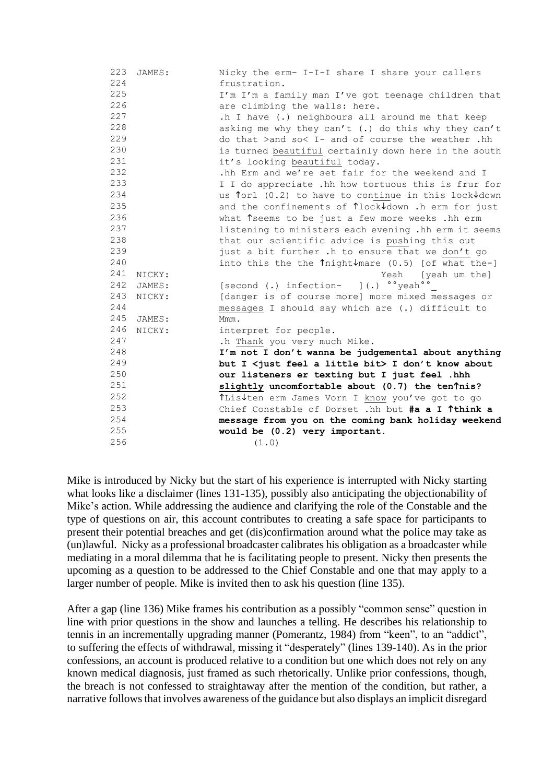| 223 | JAMES: | Nicky the erm- I-I-I share I share your callers                                         |
|-----|--------|-----------------------------------------------------------------------------------------|
| 224 |        | frustration.                                                                            |
| 225 |        | I'm I'm a family man I've got teenage children that                                     |
| 226 |        | are climbing the walls: here.                                                           |
| 227 |        | .h I have (.) neighbours all around me that keep                                        |
| 228 |        | asking me why they can't (.) do this why they can't                                     |
| 229 |        | do that >and so< I- and of course the weather .hh                                       |
| 230 |        | is turned beautiful certainly down here in the south                                    |
| 231 |        | it's looking beautiful today.                                                           |
| 232 |        | .hh Erm and we're set fair for the weekend and I                                        |
| 233 |        | I I do appreciate .hh how tortuous this is frur for                                     |
| 234 |        | us forl (0.2) to have to continue in this lock Jdown                                    |
| 235 |        | and the confinements of <i>Tlock</i> Jdown .h erm for just                              |
| 236 |        | what 1seems to be just a few more weeks .hh erm                                         |
| 237 |        | listening to ministers each evening .hh erm it seems                                    |
| 238 |        | that our scientific advice is pushing this out                                          |
| 239 |        | just a bit further. h to ensure that we don't go                                        |
| 240 |        | into this the the $\hat{\mathsf{T}}$ night $\hat{\mathsf{V}}$ mare (0.5) [of what the-] |
| 241 | NICKY: | Yeah [yeah um the]                                                                      |
| 242 | JAMES: | [second (.) infection- ](.) o'yeah''                                                    |
| 243 | NICKY: | [danger is of course more] more mixed messages or                                       |
| 244 |        | messages I should say which are (.) difficult to                                        |
| 245 | JAMES: | Mmm.                                                                                    |
| 246 | NICKY: | interpret for people.                                                                   |
| 247 |        | .h Thank you very much Mike.                                                            |
| 248 |        | I'm not I don't wanna be judgemental about anything                                     |
| 249 |        | but I <just a="" bit="" feel="" little=""> I don't know about</just>                    |
| 250 |        | our listeners er texting but I just feel .hhh                                           |
| 251 |        | slightly uncomfortable about (0.7) the tenTnis?                                         |
| 252 |        | ↑Lis↓ten erm James Vorn I know you've got to go                                         |
| 253 |        | Chief Constable of Dorset .hh but #a a I Tthink a                                       |
| 254 |        | message from you on the coming bank holiday weekend                                     |
| 255 |        | would be (0.2) very important.                                                          |
| 256 |        | (1.0)                                                                                   |

Mike is introduced by Nicky but the start of his experience is interrupted with Nicky starting what looks like a disclaimer (lines 131-135), possibly also anticipating the objectionability of Mike's action. While addressing the audience and clarifying the role of the Constable and the type of questions on air, this account contributes to creating a safe space for participants to present their potential breaches and get (dis)confirmation around what the police may take as (un)lawful. Nicky as a professional broadcaster calibrates his obligation as a broadcaster while mediating in a moral dilemma that he is facilitating people to present. Nicky then presents the upcoming as a question to be addressed to the Chief Constable and one that may apply to a larger number of people. Mike is invited then to ask his question (line 135).

After a gap (line 136) Mike frames his contribution as a possibly "common sense" question in line with prior questions in the show and launches a telling. He describes his relationship to tennis in an incrementally upgrading manner (Pomerantz, 1984) from "keen", to an "addict", to suffering the effects of withdrawal, missing it "desperately" (lines 139-140). As in the prior confessions, an account is produced relative to a condition but one which does not rely on any known medical diagnosis, just framed as such rhetorically. Unlike prior confessions, though, the breach is not confessed to straightaway after the mention of the condition, but rather, a narrative follows that involves awareness of the guidance but also displays an implicit disregard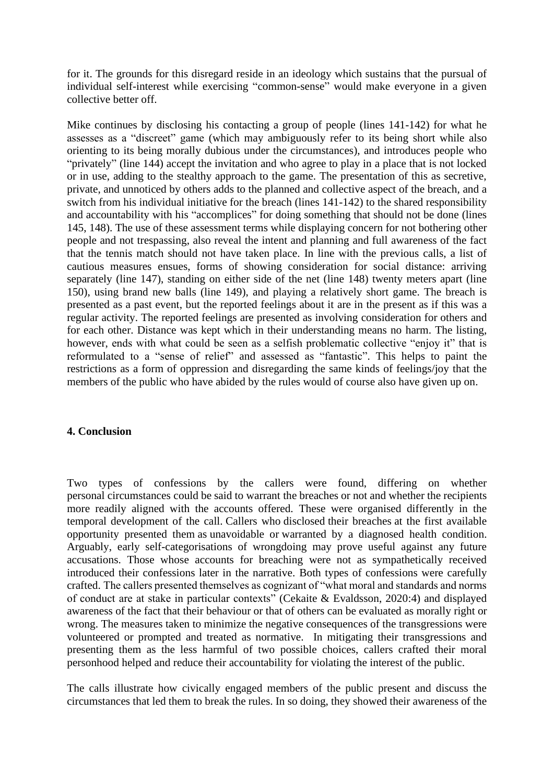for it. The grounds for this disregard reside in an ideology which sustains that the pursual of individual self-interest while exercising "common-sense" would make everyone in a given collective better off.

Mike continues by disclosing his contacting a group of people (lines 141-142) for what he assesses as a "discreet" game (which may ambiguously refer to its being short while also orienting to its being morally dubious under the circumstances), and introduces people who "privately" (line 144) accept the invitation and who agree to play in a place that is not locked or in use, adding to the stealthy approach to the game. The presentation of this as secretive, private, and unnoticed by others adds to the planned and collective aspect of the breach, and a switch from his individual initiative for the breach (lines 141-142) to the shared responsibility and accountability with his "accomplices" for doing something that should not be done (lines 145, 148). The use of these assessment terms while displaying concern for not bothering other people and not trespassing, also reveal the intent and planning and full awareness of the fact that the tennis match should not have taken place. In line with the previous calls, a list of cautious measures ensues, forms of showing consideration for social distance: arriving separately (line 147), standing on either side of the net (line 148) twenty meters apart (line 150), using brand new balls (line 149), and playing a relatively short game. The breach is presented as a past event, but the reported feelings about it are in the present as if this was a regular activity. The reported feelings are presented as involving consideration for others and for each other. Distance was kept which in their understanding means no harm. The listing, however, ends with what could be seen as a selfish problematic collective "enjoy it" that is reformulated to a "sense of relief" and assessed as "fantastic". This helps to paint the restrictions as a form of oppression and disregarding the same kinds of feelings/joy that the members of the public who have abided by the rules would of course also have given up on.

#### **4. Conclusion**

Two types of confessions by the callers were found, differing on whether personal circumstances could be said to warrant the breaches or not and whether the recipients more readily aligned with the accounts offered. These were organised differently in the temporal development of the call. Callers who disclosed their breaches at the first available opportunity presented them as unavoidable or warranted by a diagnosed health condition. Arguably, early self-categorisations of wrongdoing may prove useful against any future accusations. Those whose accounts for breaching were not as sympathetically received introduced their confessions later in the narrative. Both types of confessions were carefully crafted. The callers presented themselves as cognizant of "what moral and standards and norms of conduct are at stake in particular contexts" (Cekaite & Evaldsson, 2020:4) and displayed awareness of the fact that their behaviour or that of others can be evaluated as morally right or wrong. The measures taken to minimize the negative consequences of the transgressions were volunteered or prompted and treated as normative. In mitigating their transgressions and presenting them as the less harmful of two possible choices, callers crafted their moral personhood helped and reduce their accountability for violating the interest of the public.

The calls illustrate how civically engaged members of the public present and discuss the circumstances that led them to break the rules. In so doing, they showed their awareness of the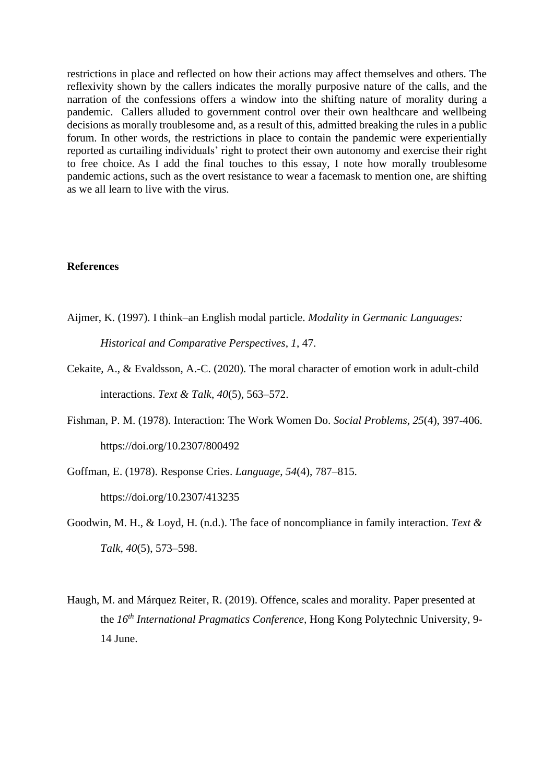restrictions in place and reflected on how their actions may affect themselves and others. The reflexivity shown by the callers indicates the morally purposive nature of the calls, and the narration of the confessions offers a window into the shifting nature of morality during a pandemic. Callers alluded to government control over their own healthcare and wellbeing decisions as morally troublesome and, as a result of this, admitted breaking the rules in a public forum. In other words, the restrictions in place to contain the pandemic were experientially reported as curtailing individuals' right to protect their own autonomy and exercise their right to free choice. As I add the final touches to this essay, I note how morally troublesome pandemic actions, such as the overt resistance to wear a facemask to mention one, are shifting as we all learn to live with the virus.

#### **References**

Aijmer, K. (1997). I think–an English modal particle. *Modality in Germanic Languages:* 

*Historical and Comparative Perspectives*, *1*, 47.

- Cekaite, A., & Evaldsson, A.-C. (2020). The moral character of emotion work in adult-child interactions. *Text & Talk*, *40*(5), 563–572.
- Fishman, P. M. (1978). Interaction: The Work Women Do. *Social Problems*, *25*(4), 397-406. https://doi.org/10.2307/800492
- Goffman, E. (1978). Response Cries. *Language*, *54*(4), 787–815.

https://doi.org/10.2307/413235

- Goodwin, M. H., & Loyd, H. (n.d.). The face of noncompliance in family interaction. *Text & Talk*, *40*(5), 573–598.
- Haugh, M. and Márquez Reiter, R. (2019). Offence, scales and morality. Paper presented at the *16th International Pragmatics Conference,* Hong Kong Polytechnic University, 9- 14 June.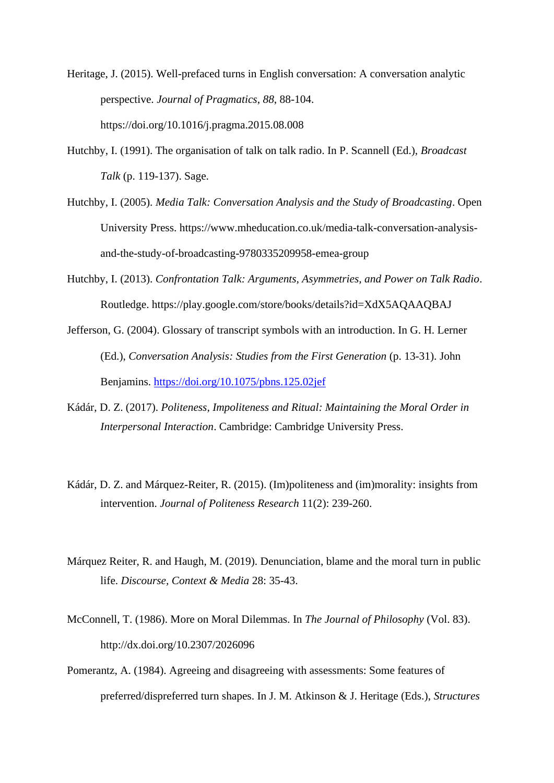Heritage, J. (2015). Well-prefaced turns in English conversation: A conversation analytic perspective. *Journal of Pragmatics*, *88*, 88-104. https://doi.org/10.1016/j.pragma.2015.08.008

- Hutchby, I. (1991). The organisation of talk on talk radio. In P. Scannell (Ed.), *Broadcast Talk* (p. 119-137). Sage.
- Hutchby, I. (2005). *Media Talk: Conversation Analysis and the Study of Broadcasting*. Open University Press. https://www.mheducation.co.uk/media-talk-conversation-analysisand-the-study-of-broadcasting-9780335209958-emea-group
- Hutchby, I. (2013). *Confrontation Talk: Arguments, Asymmetries, and Power on Talk Radio*. Routledge. https://play.google.com/store/books/details?id=XdX5AQAAQBAJ
- Jefferson, G. (2004). Glossary of transcript symbols with an introduction. In G. H. Lerner (Ed.), *Conversation Analysis: Studies from the First Generation* (p. 13-31). John Benjamins.<https://doi.org/10.1075/pbns.125.02jef>
- Kádár, D. Z. (2017). *Politeness, Impoliteness and Ritual: Maintaining the Moral Order in Interpersonal Interaction*. Cambridge: Cambridge University Press.
- Kádár, D. Z. and Márquez-Reiter, R. (2015). (Im)politeness and (im)morality: insights from intervention. *Journal of Politeness Research* 11(2): 239-260.
- Márquez Reiter, R. and Haugh, M. (2019). Denunciation, blame and the moral turn in public life. *Discourse, Context & Media* 28: 35-43.
- McConnell, T. (1986). More on Moral Dilemmas. In *The Journal of Philosophy* (Vol. 83). http://dx.doi.org/10.2307/2026096
- Pomerantz, A. (1984). Agreeing and disagreeing with assessments: Some features of preferred/dispreferred turn shapes. In J. M. Atkinson & J. Heritage (Eds.), *Structures*